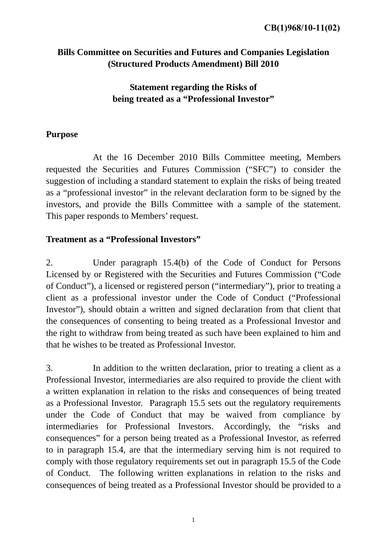## **Bills Committee on Securities and Futures and Companies Legislation (Structured Products Amendment) Bill 2010**

# **Statement regarding the Risks of being treated as a "Professional Investor"**

### **Purpose**

 At the 16 December 2010 Bills Committee meeting, Members requested the Securities and Futures Commission ("SFC") to consider the suggestion of including a standard statement to explain the risks of being treated as a "professional investor" in the relevant declaration form to be signed by the investors, and provide the Bills Committee with a sample of the statement. This paper responds to Members' request.

# **Treatment as a "Professional Investors"**

2. Under paragraph 15.4(b) of the Code of Conduct for Persons Licensed by or Registered with the Securities and Futures Commission ("Code of Conduct"), a licensed or registered person ("intermediary"), prior to treating a client as a professional investor under the Code of Conduct ("Professional Investor"), should obtain a written and signed declaration from that client that the consequences of consenting to being treated as a Professional Investor and the right to withdraw from being treated as such have been explained to him and that he wishes to be treated as Professional Investor.

3. In addition to the written declaration, prior to treating a client as a Professional Investor, intermediaries are also required to provide the client with a written explanation in relation to the risks and consequences of being treated as a Professional Investor. Paragraph 15.5 sets out the regulatory requirements under the Code of Conduct that may be waived from compliance by intermediaries for Professional Investors. Accordingly, the "risks and consequences" for a person being treated as a Professional Investor, as referred to in paragraph 15.4, are that the intermediary serving him is not required to comply with those regulatory requirements set out in paragraph 15.5 of the Code of Conduct. The following written explanations in relation to the risks and consequences of being treated as a Professional Investor should be provided to a

1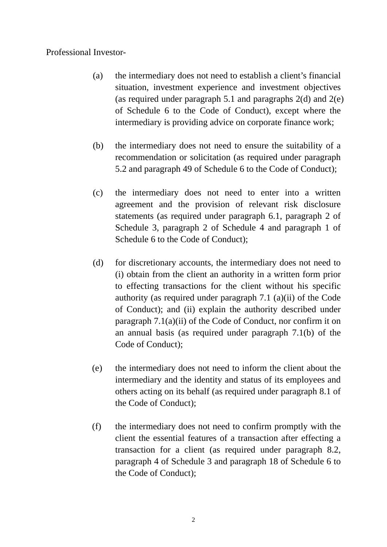#### Professional Investor-

- (a) the intermediary does not need to establish a client's financial situation, investment experience and investment objectives (as required under paragraph 5.1 and paragraphs 2(d) and 2(e) of Schedule 6 to the Code of Conduct), except where the intermediary is providing advice on corporate finance work;
- (b) the intermediary does not need to ensure the suitability of a recommendation or solicitation (as required under paragraph 5.2 and paragraph 49 of Schedule 6 to the Code of Conduct);
- (c) the intermediary does not need to enter into a written agreement and the provision of relevant risk disclosure statements (as required under paragraph 6.1, paragraph 2 of Schedule 3, paragraph 2 of Schedule 4 and paragraph 1 of Schedule 6 to the Code of Conduct);
- (d) for discretionary accounts, the intermediary does not need to (i) obtain from the client an authority in a written form prior to effecting transactions for the client without his specific authority (as required under paragraph 7.1 (a)(ii) of the Code of Conduct); and (ii) explain the authority described under paragraph 7.1(a)(ii) of the Code of Conduct, nor confirm it on an annual basis (as required under paragraph 7.1(b) of the Code of Conduct);
- (e) the intermediary does not need to inform the client about the intermediary and the identity and status of its employees and others acting on its behalf (as required under paragraph 8.1 of the Code of Conduct);
- (f) the intermediary does not need to confirm promptly with the client the essential features of a transaction after effecting a transaction for a client (as required under paragraph 8.2, paragraph 4 of Schedule 3 and paragraph 18 of Schedule 6 to the Code of Conduct);